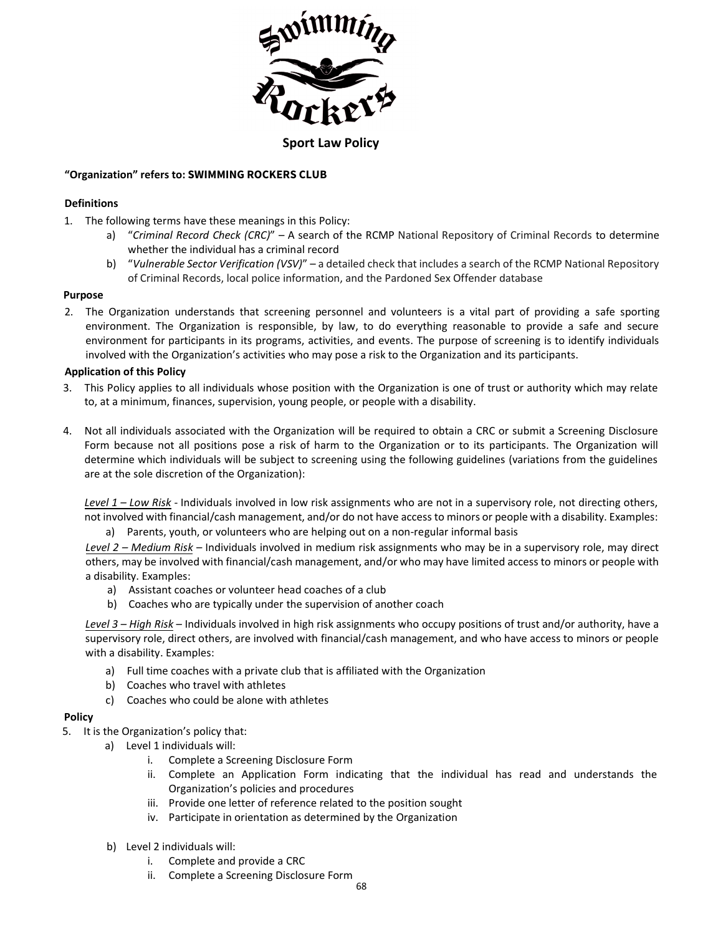

## **Sport Law Policy**

# **"Organization" refers to: SWIMMING ROCKERS CLUB**

## **Definitions**

- 1. The following terms have these meanings in this Policy:
	- a) "*Criminal Record Check (CRC)*" A search of the RCMP National Repository of Criminal Records to determine whether the individual has a criminal record
	- b) "*Vulnerable Sector Verification (VSV)*" a detailed check that includes a search of the RCMP National Repository of Criminal Records, local police information, and the Pardoned Sex Offender database

### **Purpose**

2. The Organization understands that screening personnel and volunteers is a vital part of providing a safe sporting environment. The Organization is responsible, by law, to do everything reasonable to provide a safe and secure environment for participants in its programs, activities, and events. The purpose of screening is to identify individuals involved with the Organization's activities who may pose a risk to the Organization and its participants.

# **Application of this Policy**

- 3. This Policy applies to all individuals whose position with the Organization is one of trust or authority which may relate to, at a minimum, finances, supervision, young people, or people with a disability.
- 4. Not all individuals associated with the Organization will be required to obtain a CRC or submit a Screening Disclosure Form because not all positions pose a risk of harm to the Organization or to its participants. The Organization will determine which individuals will be subject to screening using the following guidelines (variations from the guidelines are at the sole discretion of the Organization):

*Level 1 – Low Risk* - Individuals involved in low risk assignments who are not in a supervisory role, not directing others, not involved with financial/cash management, and/or do not have access to minors or people with a disability. Examples:

a) Parents, youth, or volunteers who are helping out on a non-regular informal basis

*Level 2 – Medium Risk* – Individuals involved in medium risk assignments who may be in a supervisory role, may direct others, may be involved with financial/cash management, and/or who may have limited access to minors or people with a disability. Examples:

- a) Assistant coaches or volunteer head coaches of a club
- b) Coaches who are typically under the supervision of another coach

*Level 3 – High Risk* – Individuals involved in high risk assignments who occupy positions of trust and/or authority, have a supervisory role, direct others, are involved with financial/cash management, and who have access to minors or people with a disability. Examples:

- a) Full time coaches with a private club that is affiliated with the Organization
- b) Coaches who travel with athletes
- c) Coaches who could be alone with athletes

### **Policy**

- 5. It is the Organization's policy that:
	- a) Level 1 individuals will:
		- i. Complete a Screening Disclosure Form
		- ii. Complete an Application Form indicating that the individual has read and understands the Organization's policies and procedures
		- iii. Provide one letter of reference related to the position sought
		- iv. Participate in orientation as determined by the Organization
	- b) Level 2 individuals will:
		- i. Complete and provide a CRC
		- ii. Complete a Screening Disclosure Form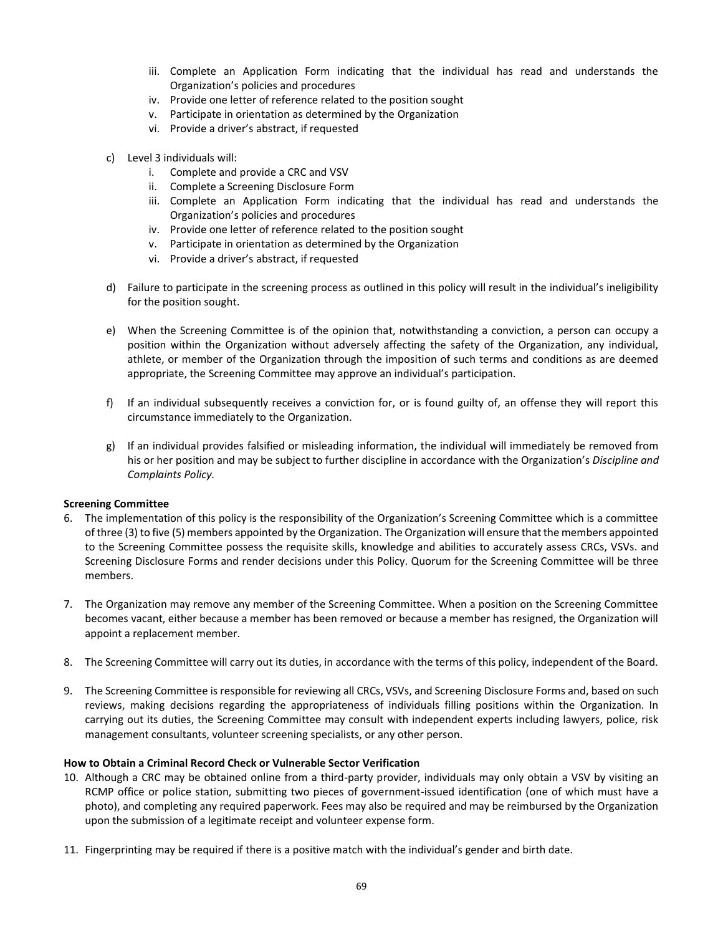- iii. Complete an Application Form indicating that the individual has read and understands the Organization's policies and procedures
- iv. Provide one letter of reference related to the position sought
- v. Participate in orientation as determined by the Organization
- vi. Provide a driver's abstract, if requested
- c) Level 3 individuals will:
	- i. Complete and provide a CRC and VSV
	- ii. Complete a Screening Disclosure Form
	- iii. Complete an Application Form indicating that the individual has read and understands the Organization's policies and procedures
	- iv. Provide one letter of reference related to the position sought
	- v. Participate in orientation as determined by the Organization
	- vi. Provide a driver's abstract, if requested
- d) Failure to participate in the screening process as outlined in this policy will result in the individual's ineligibility for the position sought.
- e) When the Screening Committee is of the opinion that, notwithstanding a conviction, a person can occupy a position within the Organization without adversely affecting the safety of the Organization, any individual, athlete, or member of the Organization through the imposition of such terms and conditions as are deemed appropriate, the Screening Committee may approve an individual's participation.
- f) If an individual subsequently receives a conviction for, or is found guilty of, an offense they will report this circumstance immediately to the Organization.
- g) If an individual provides falsified or misleading information, the individual will immediately be removed from his or her position and may be subject to further discipline in accordance with the Organization's *Discipline and Complaints Policy.*

### **Screening Committee**

- 6. The implementation of this policy is the responsibility of the Organization's Screening Committee which is a committee of three (3) to five (5) members appointed by the Organization. The Organization will ensure that the members appointed to the Screening Committee possess the requisite skills, knowledge and abilities to accurately assess CRCs, VSVs. and Screening Disclosure Forms and render decisions under this Policy. Quorum for the Screening Committee will be three members.
- 7. The Organization may remove any member of the Screening Committee. When a position on the Screening Committee becomes vacant, either because a member has been removed or because a member has resigned, the Organization will appoint a replacement member.
- 8. The Screening Committee will carry out its duties, in accordance with the terms of this policy, independent of the Board.
- 9. The Screening Committee is responsible for reviewing all CRCs, VSVs, and Screening Disclosure Forms and, based on such reviews, making decisions regarding the appropriateness of individuals filling positions within the Organization. In carrying out its duties, the Screening Committee may consult with independent experts including lawyers, police, risk management consultants, volunteer screening specialists, or any other person.

### **How to Obtain a Criminal Record Check or Vulnerable Sector Verification**

- 10. Although a CRC may be obtained online from a third-party provider, individuals may only obtain a VSV by visiting an RCMP office or police station, submitting two pieces of government-issued identification (one of which must have a photo), and completing any required paperwork. Fees may also be required and may be reimbursed by the Organization upon the submission of a legitimate receipt and volunteer expense form.
- 11. Fingerprinting may be required if there is a positive match with the individual's gender and birth date.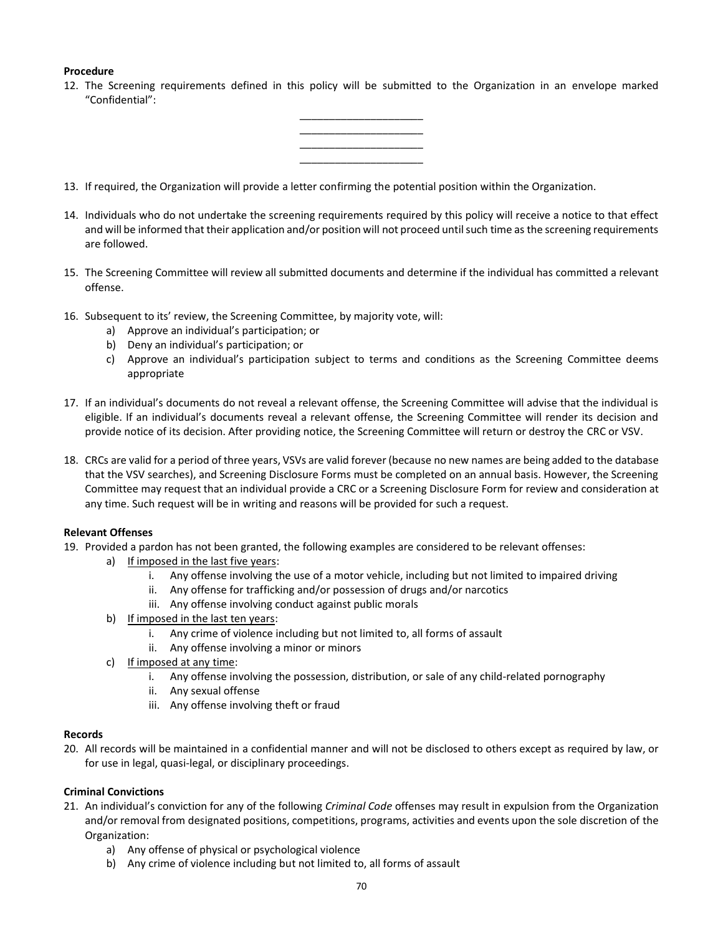## **Procedure**

12. The Screening requirements defined in this policy will be submitted to the Organization in an envelope marked "Confidential":



- 13. If required, the Organization will provide a letter confirming the potential position within the Organization.
- 14. Individuals who do not undertake the screening requirements required by this policy will receive a notice to that effect and will be informed that their application and/or position will not proceed until such time as the screening requirements are followed.
- 15. The Screening Committee will review all submitted documents and determine if the individual has committed a relevant offense.
- 16. Subsequent to its' review, the Screening Committee, by majority vote, will:
	- a) Approve an individual's participation; or
	- b) Deny an individual's participation; or
	- c) Approve an individual's participation subject to terms and conditions as the Screening Committee deems appropriate
- 17. If an individual's documents do not reveal a relevant offense, the Screening Committee will advise that the individual is eligible. If an individual's documents reveal a relevant offense, the Screening Committee will render its decision and provide notice of its decision. After providing notice, the Screening Committee will return or destroy the CRC or VSV.
- 18. CRCs are valid for a period of three years, VSVs are valid forever (because no new names are being added to the database that the VSV searches), and Screening Disclosure Forms must be completed on an annual basis. However, the Screening Committee may request that an individual provide a CRC or a Screening Disclosure Form for review and consideration at any time. Such request will be in writing and reasons will be provided for such a request.

### **Relevant Offenses**

- 19. Provided a pardon has not been granted, the following examples are considered to be relevant offenses:
	- a) If imposed in the last five years:
		- i. Any offense involving the use of a motor vehicle, including but not limited to impaired driving
		- ii. Any offense for trafficking and/or possession of drugs and/or narcotics
		- iii. Any offense involving conduct against public morals
	- b) If imposed in the last ten years:
		- i. Any crime of violence including but not limited to, all forms of assault
		- ii. Any offense involving a minor or minors
	- c) If imposed at any time:
		- i. Any offense involving the possession, distribution, or sale of any child-related pornography
		- ii. Any sexual offense
		- iii. Any offense involving theft or fraud

### **Records**

20. All records will be maintained in a confidential manner and will not be disclosed to others except as required by law, or for use in legal, quasi-legal, or disciplinary proceedings.

### **Criminal Convictions**

- 21. An individual's conviction for any of the following *Criminal Code* offenses may result in expulsion from the Organization and/or removal from designated positions, competitions, programs, activities and events upon the sole discretion of the Organization:
	- a) Any offense of physical or psychological violence
	- b) Any crime of violence including but not limited to, all forms of assault